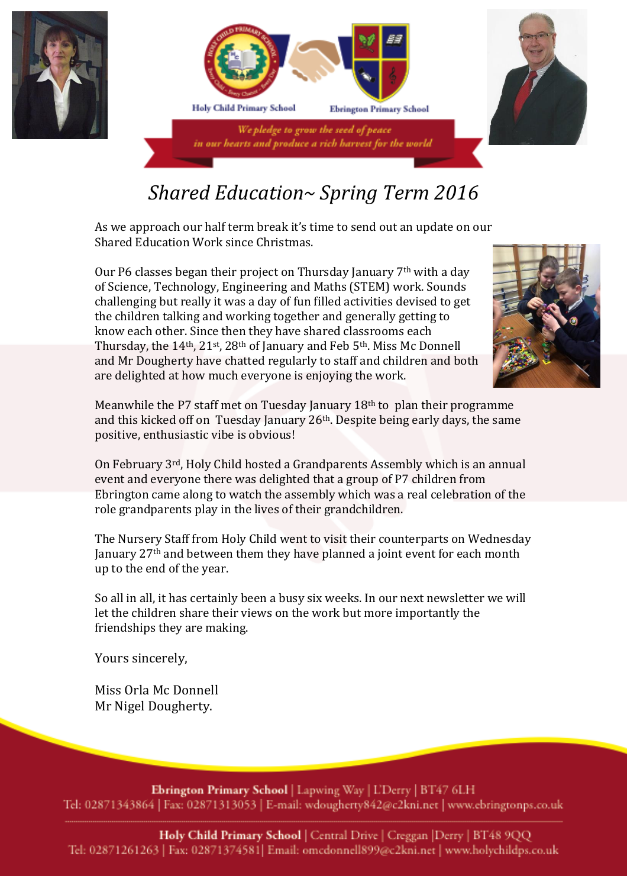



## *Shared Education~ Spring Term 2016*

As we approach our half term break it's time to send out an update on our Shared Education Work since Christmas.

Our P6 classes began their project on Thursday January 7th with a day of Science, Technology, Engineering and Maths (STEM) work. Sounds challenging but really it was a day of fun filled activities devised to get the children talking and working together and generally getting to know each other. Since then they have shared classrooms each Thursday, the 14th, 21st, 28th of January and Feb 5th. Miss Mc Donnell and Mr Dougherty have chatted regularly to staff and children and both are delighted at how much everyone is enjoying the work.



Meanwhile the P7 staff met on Tuesday January 18th to plan their programme and this kicked off on Tuesday January 26th. Despite being early days, the same positive, enthusiastic vibe is obvious!

On February 3rd, Holy Child hosted a Grandparents Assembly which is an annual event and everyone there was delighted that a group of P7 children from Ebrington came along to watch the assembly which was a real celebration of the role grandparents play in the lives of their grandchildren.

The Nursery Staff from Holy Child went to visit their counterparts on Wednesday January 27th and between them they have planned a joint event for each month up to the end of the year.

So all in all, it has certainly been a busy six weeks. In our next newsletter we will let the children share their views on the work but more importantly the friendships they are making.

Yours sincerely,

Miss Orla Mc Donnell Mr Nigel Dougherty.

Ebrington Primary School | Lapwing Way | L'Derry | BT47 6LH Tel: 02871343864 | Fax: 02871313053 | E-mail: wdougherty842@c2kni.net | www.ebringtonps.co.uk

Holy Child Primary School | Central Drive | Creggan | Derry | BT48 9QQ Tel: 02871261263 | Fax: 02871374581 | Email: omcdonnell899@c2kni.net | www.holychildps.co.uk